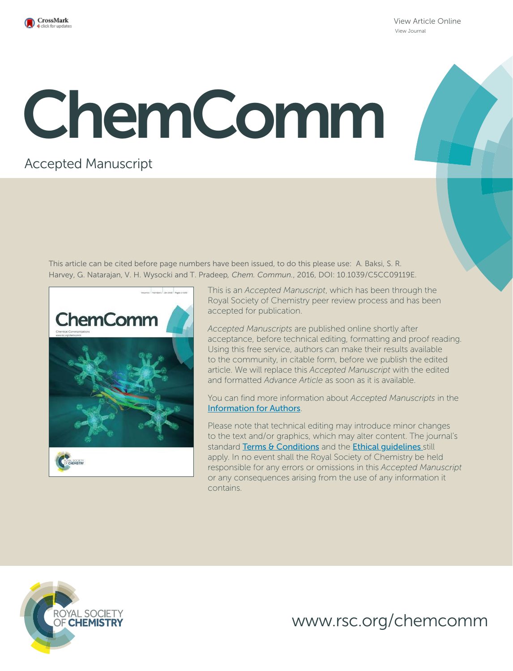

View Article Online View Journal

## ChemComm

## Accepted Manuscript

This article can be cited before page numbers have been issued, to do this please use: A. Baksi, S. R. Harvey, G. Natarajan, V. H. Wysocki and T. Pradeep*, Chem. Commun.*, 2016, DOI: 10.1039/C5CC09119E.



This is an *Accepted Manuscript*, which has been through the Royal Society of Chemistry peer review process and has been accepted for publication.

*Accepted Manuscripts* are published online shortly after acceptance, before technical editing, formatting and proof reading. Using this free service, authors can make their results available to the community, in citable form, before we publish the edited article. We will replace this *Accepted Manuscript* with the edited and formatted *Advance Article* as soon as it is available.

You can find more information about *Accepted Manuscripts* in the Information for Authors.

Please note that technical editing may introduce minor changes to the text and/or graphics, which may alter content. The journal's standard Terms & Conditions and the Ethical quidelines still apply. In no event shall the Royal Society of Chemistry be held responsible for any errors or omissions in this *Accepted Manuscript* or any consequences arising from the use of any information it contains.



www.rsc.org/chemcomm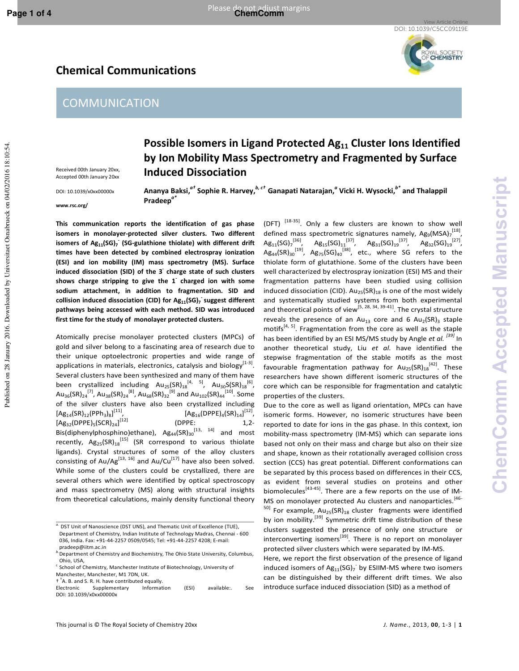Published on 28 January 2016. Downloaded by Universitaet Osnabrueck on 04/02/2016 18:10:54.

Published on 28 January 2016. Downloaded by Universitaet Osnabrueck on 04/02/2016 18:10:54

**Possible Isomers in Ligand Protected Ag11 Cluster Ions Identified by Ion Mobility Mass Spectrometry and Fragmented by Surface** 

View Article Online DOI: 10.1039/C5CC09119E



**COMMUNICATION** 



Received 00th January 20xx, Accepted 00th January 20xx DOI: 10.1039/x0xx00000x

**www.rsc.org/ Ananya Baksi,***a†* **Sophie R. Harvey,***b, c†* **Ganapati Natarajan,***<sup>a</sup>* **Vicki H. Wysocki,***b\** **and Thalappil Pradeep***a\** 

**This communication reports the identification of gas phase isomers in monolayer-protected silver clusters. Two different isomers of Ag11(SG)<sup>7</sup> - (SG-gulathione thiolate) with different drift times have been detected by combined electrospray ionization (ESI) and ion mobility (IM) mass spectrometry (MS). Surface induced dissociation (SID) of the 3- charge state of such clusters shows charge stripping to give the 1- charged ion with some sodium attachment, in addition to fragmentation. SID and collision induced dissociation (CID) for Ag11(SG)<sup>7</sup> - suggest different pathways being accessed with each method. SID was introduced first time for the study of monolayer protected clusters.** 

**Induced Dissociation** 

Atomically precise monolayer protected clusters (MPCs) of gold and silver belong to a fascinating area of research due to their unique optoelectronic properties and wide range of applications in materials, electronics, catalysis and biology $^{[1-3]}$ . Several clusters have been synthesized and many of them have been crystallized including  $Au_{25}$ (SR) $_{18}^{[4,5]}$ , Au<sub>30</sub>S(SR) $_{18}^{[6]}$ ,  ${\sf Au}_{36}({\sf SR})_{24}^{[7]}$ ,  ${\sf Au}_{38}({\sf SR})_{24}^{[8]}$ ,  ${\sf Au}_{68}({\sf SR})_{32}^{[9]}$  and  ${\sf Au}_{102}({\sf SR})_{44}^{[10]}$ . Some of the silver clusters have also been crystallized including  $[Ag_{14}(SR)_{12}(PPh_3)_{8}]$  $[Ag_{16}(DPPE)_{4}(SR)_{14}]^{[12]},$  $[Ag_{32}(DPPE)_{5} (SCR)_{24}]$ (DPPE: 1,2-Bis(diphenylphosphino)ethane),  $Ag_{44}(SR)_{30}^{[13, 14]}$  and most recently,  $Ag_{25}(SR)_{18}^{[15]}$  (SR correspond to various thiolate ligands). Crystal structures of some of the alloy clusters consisting of Au/Ag<sup>[13, 16]</sup> and Au/Cu<sup>[17]</sup> have also been solved. While some of the clusters could be crystallized, there are several others which were identified by optical spectroscopy and mass spectrometry (MS) along with structural insights from theoretical calculations, mainly density functional theory

† † A. B. and S. R. H. have contributed equally.

(DFT)  $^{[18-35]}$ . Only a few clusters are known to show well defined mass spectrometric signatures namely,  $Ag_9(MSA)_7^{[18]}$ ,  $\mathsf{Ag}_{11}(\mathsf{SG})_7^{[36]}, \quad \mathsf{Ag}_{15}(\mathsf{SG})_{11}^{[37]}, \quad \mathsf{Ag}_{31}(\mathsf{SG})_{19}^{[37]}, \quad \mathsf{Ag}_{32}(\mathsf{SG})_{19}^{[27]},$  $\mathsf{Ag}_{44}(\mathsf{SR})_{30}^{[19]}$ ,  $\mathsf{Ag}_{75}(\mathsf{SG})_{40}^{[38]}$ , etc., where SG refers to the thiolate form of glutathione. Some of the clusters have been well characterized by electrospray ionization (ESI) MS and their fragmentation patterns have been studied using collision induced dissociation (CID).  $Au_{25}(SR)_{18}$  is one of the most widely and systematically studied systems from both experimental and theoretical points of view<sup>[5, 28, 34, 39-41]</sup>. The crystal structure reveals the presence of an  $Au_{13}$  core and 6  $Au_{2}(SR)_{3}$  staple motifs $[4, 5]$ . Fragmentation from the core as well as the staple has been identified by an ESI MS/MS study by Angle *et al. [39]* In another theoretical study, Liu *et al.* have identified the stepwise fragmentation of the stable motifs as the most favourable fragmentation pathway for  $Au_{25}$ (SR) $_{18}^{[42]}$ . These researchers have shown different isomeric structures of the core which can be responsible for fragmentation and catalytic properties of the clusters.

Due to the core as well as ligand orientation, MPCs can have isomeric forms. However, no isomeric structures have been reported to date for ions in the gas phase. In this context, ion mobility-mass spectrometry (IM-MS) which can separate ions based not only on their mass and charge but also on their size and shape, known as their rotationally averaged collision cross section (CCS) has great potential. Different conformations can be separated by this process based on differences in their CCS, as evident from several studies on proteins and other biomolecules $^{[43\text{-}45]}$ . There are a few reports on the use of IM-MS on monolayer protected Au clusters and nanoparticles.<sup>[46-</sup>  $50$ ] For example, Au<sub>25</sub>(SR)<sub>18</sub> cluster fragments were identified by ion mobility.<sup>[39]</sup> Symmetric drift time distribution of these clusters suggested the presence of only one structure or interconverting isomers<sup>[39]</sup>. There is no report on monolayer protected silver clusters which were separated by IM-MS.

Here, we report the first observation of the presence of ligand induced isomers of  $Ag_{11}(SG)_{7}$  by ESIIM-MS where two isomers can be distinguished by their different drift times. We also introduce surface induced dissociation (SID) as a method of

*a.* DST Unit of Nanoscience (DST UNS), and Thematic Unit of Excellence (TUE), Department of Chemistry, Indian Institute of Technology Madras, Chennai - 600 036, India. Fax: +91-44-2257 0509/0545; Tel: +91-44-2257 4208; E-mail: pradeep@iitm.ac.in

*b.*Department of Chemistry and Biochemistry, The Ohio State University, Columbus, Ohio, USA,

 $c$  School of Chemistry, Manchester Institute of Biotechnology, University of Manchester, Manchester, M1 7DN, UK.

Electronic Supplementary Information (ESI) available:. See DOI: 10.1039/x0xx00000x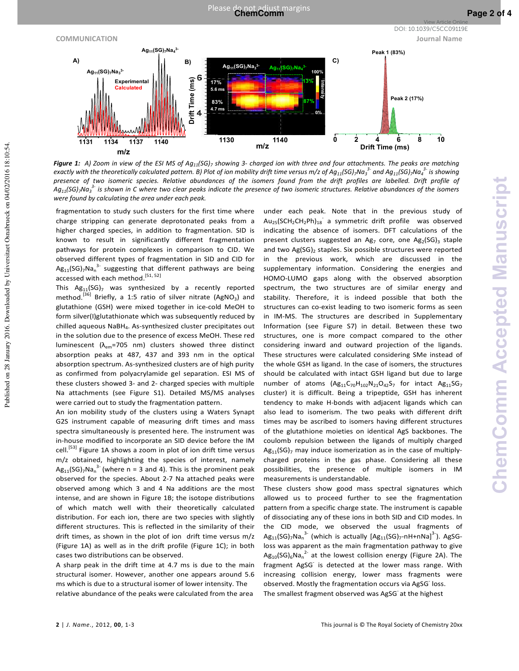

*Figure 1: A) Zoom in view of the ESI MS of Ag11(SG)<sup>7</sup> showing 3- charged ion with three and four attachments. The peaks are matching*  exactly with the theoretically calculated pattern. B) Plot of ion mobility drift time versus m/z of Ag $_{11}$ (SG),Na $_3^{~3\textdegree}$  and Ag $_{11}$ (SG),Na $_4^{~3\textdegree}$  is showing *presence of two isomeric species. Relative abundances of the isomers found from the drift profiles are labelled. Drift profile of Ag11(SG)7Na<sup>3</sup> 3- is shown in C where two clear peaks indicate the presence of two isomeric structures. Relative abundances of the isomers were found by calculating the area under each peak.* 

fragmentation to study such clusters for the first time where charge stripping can generate deprotonated peaks from a higher charged species, in addition to fragmentation. SID is known to result in significantly different fragmentation pathways for protein complexes in comparison to CID. We observed different types of fragmentation in SID and CID for  $Ag_{11} (SG)_7 Na_n^{3-}$  suggesting that different pathways are being accessed with each method.<sup>[51, 52]</sup>

This  $Ag_{11}(SG)$ <sub>7</sub> was synthesized by a recently reported method.<sup>[36]</sup> Briefly, a 1:5 ratio of silver nitrate (AgNO<sub>3</sub>) and glutathione (GSH) were mixed together in ice-cold MeOH to form silver(I)glutathionate which was subsequently reduced by chilled aqueous NaBH<sup>4</sup> . As-synthesized cluster precipitates out in the solution due to the presence of excess MeOH. These red luminescent ( $\lambda_{em}$ =705 nm) clusters showed three distinct absorption peaks at 487, 437 and 393 nm in the optical absorption spectrum. As-synthesized clusters are of high purity as confirmed from polyacrylamide gel separation. ESI MS of these clusters showed 3- and 2- charged species with multiple Na attachments (see Figure S1). Detailed MS/MS analyses were carried out to study the fragmentation pattern.

An ion mobility study of the clusters using a Waters Synapt G2S instrument capable of measuring drift times and mass spectra simultaneously is presented here. The instrument was in-house modified to incorporate an SID device before the IM cell.<sup>[53]</sup> Figure 1A shows a zoom in plot of ion drift time versus m/z obtained, highlighting the species of interest, namely  $Ag_{11}(SG)$ <sub>7</sub>Na<sub>n</sub><sup>3-</sup> (where n = 3 and 4). This is the prominent peak observed for the species. About 2-7 Na attached peaks were observed among which 3 and 4 Na additions are the most intense, and are shown in Figure 1B; the isotope distributions of which match well with their theoretically calculated distribution. For each ion, there are two species with slightly different structures. This is reflected in the similarity of their drift times, as shown in the plot of ion drift time versus m/z (Figure 1A) as well as in the drift profile (Figure 1C); in both cases two distributions can be observed.

A sharp peak in the drift time at 4.7 ms is due to the main structural isomer. However, another one appears around 5.6 ms which is due to a structural isomer of lower intensity. The relative abundance of the peaks were calculated from the area

under each peak. Note that in the previous study of  $Au_{25}$ (SCH<sub>2</sub>CH<sub>2</sub>Ph)<sub>18</sub> a symmetric drift profile was observed indicating the absence of isomers. DFT calculations of the present clusters suggested an Ag<sub>7</sub> core, one Ag<sub>2</sub>(SG)<sub>3</sub> staple and two Ag(SG)<sub>2</sub> staples. Six possible structures were reported in the previous work, which are discussed in the supplementary information. Considering the energies and HOMO-LUMO gaps along with the observed absorption spectrum, the two structures are of similar energy and stability. Therefore, it is indeed possible that both the structures can co-exist leading to two isomeric forms as seen in IM-MS. The structures are described in Supplementary Information (see Figure S7) in detail. Between these two structures, one is more compact compared to the other considering inward and outward projection of the ligands. These structures were calculated considering SMe instead of the whole GSH as ligand. In the case of isomers, the structures should be calculated with intact GSH ligand but due to large number of atoms  $(Ag_{11}C_{70}H_{102}N_{21}O_{42}S_{7}$  for intact  $Ag_{11}SG_{7}$ cluster) it is difficult. Being a tripeptide, GSH has inherent tendency to make H-bonds with adjacent ligands which can also lead to isomerism. The two peaks with different drift times may be ascribed to isomers having different structures of the glutathione moieties on identical AgS backbones. The coulomb repulsion between the ligands of multiply charged  $Ag_{11}(SG)$ <sub>7</sub> may induce isomerization as in the case of multiplycharged proteins in the gas phase. Considering all these possibilities, the presence of multiple isomers in IM measurements is understandable.

These clusters show good mass spectral signatures which allowed us to proceed further to see the fragmentation pattern from a specific charge state. The instrument is capable of dissociating any of these ions in both SID and CID modes. In the CID mode, we observed the usual fragments of  $\mathsf{Ag}_{11}(\mathsf{SG})_7\mathsf{Na}_\mathsf{n}^\mathsf{3-}$  (which is actually  $[\mathsf{Ag}_{11}(\mathsf{SG})_7\text{-}\mathsf{nH} \text{+}\mathsf{nNa}]^\mathsf{3-}$ ). AgSGloss was apparent as the main fragmentation pathway to give  $\mathsf{Ag_{10}}(\mathsf{SG})_6\mathsf{Na}_n^{\mathsf{2-}}$  at the lowest collision energy (Figure 2A). The fragment AgSG is detected at the lower mass range. With increasing collision energy, lower mass fragments were observed. Mostly the fragmentation occurs via AgSG loss. The smallest fragment observed was AgSG at the highest

View Article Online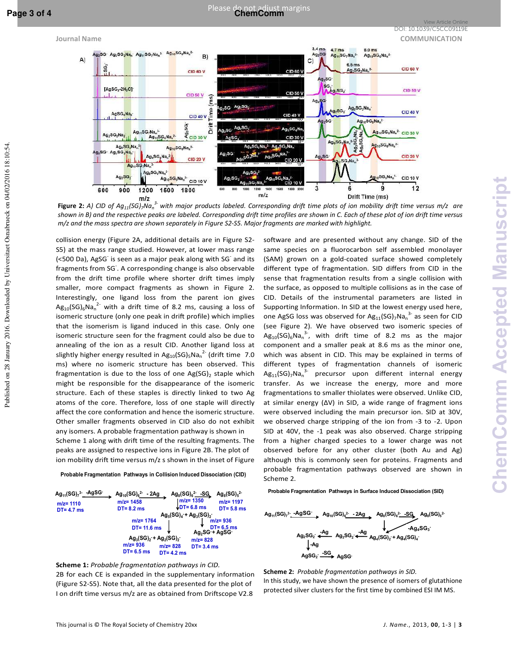Published on 28 January 2016. Downloaded by Universitaet Osnabrueck on 04/02/2016 18:10:54.

Published on 28 January 2016. Downloaded by Universitaet Osnabrueck on 04/02/2016 18:10:54



**Figure 2:** *A) CID of Ag11(SG)7Na<sup>n</sup> 3- with major products labeled. Corresponding drift time plots of ion mobility drift time versus m/z are shown in B) and the respective peaks are labeled. Corresponding drift time profiles are shown in C. Each of these plot of ion drift time versus m/z and the mass spectra are shown separately in Figure S2-S5. Major fragments are marked with highlight.* 

collision energy (Figure 2A, additional details are in Figure S2- S5) at the mass range studied. However, at lower mass range (<500 Da), AgSG<sup>-</sup> is seen as a major peak along with SG<sup>-</sup> and its fragments from SG- . A corresponding change is also observable from the drift time profile where shorter drift times imply smaller, more compact fragments as shown in Figure 2. Interestingly, one ligand loss from the parent ion gives  $Ag_{10}(SG)_{6}Na_{n}^{2}$  with a drift time of 8.2 ms, causing a loss of isomeric structure (only one peak in drift profile) which implies that the isomerism is ligand induced in this case. Only one isomeric structure seen for the fragment could also be due to annealing of the ion as a result CID. Another ligand loss at slightly higher energy resulted in  $Ag_{10} (SG)_5 Na_n^2$  (drift time  $7.0$ ms) where no isomeric structure has been observed. This fragmentation is due to the loss of one  $Ag(SG)_2$  staple which might be responsible for the disappearance of the isomeric structure. Each of these staples is directly linked to two Ag atoms of the core. Therefore, loss of one staple will directly affect the core conformation and hence the isomeric structure. Other smaller fragments observed in CID also do not exhibit any isomers. A probable fragmentation pathway is shown in Scheme 1 along with drift time of the resulting fragments. The

peaks are assigned to respective ions in Figure 2B. The plot of ion mobility drift time versus m/z s shown in the inset of Figure

Probable Fragmentation Pathways in Collision Induced Dissociation (CID)





software and are presented without any change. SID of the same species on a fluorocarbon self assembled monolayer (SAM) grown on a gold-coated surface showed completely different type of fragmentation. SID differs from CID in the sense that fragmentation results from a single collision with the surface, as opposed to multiple collisions as in the case of CID. Details of the instrumental parameters are listed in Supporting Information. In SID at the lowest energy used here, one AgSG loss was observed for  $Ag_{11}(SG)_{7}Na_{n}^{3}$  as seen for CID (see Figure 2). We have observed two isomeric species of  $Ag_{10}(SG)_6Na_n^{3}$ , with drift time of 8.2 ms as the major component and a smaller peak at 8.6 ms as the minor one, which was absent in CID. This may be explained in terms of different types of fragmentation channels of isomeric  $\mathsf{Ag}_{11}(\mathsf{SG})_7\mathsf{Na}_n^3$  precursor upon different internal energy transfer. As we increase the energy, more and more fragmentations to smaller thiolates were observed. Unlike CID, at similar energy (ΔV) in SID, a wide range of fragment ions were observed including the main precursor ion. SID at 30V, we observed charge stripping of the ion from -3 to -2. Upon SID at 40V, the -1 peak was also observed. Charge stripping from a higher charged species to a lower charge was not observed before for any other cluster (both Au and Ag) although this is commonly seen for proteins. Fragments and probable fragmentation pathways observed are shown in Scheme 2.

Probable Fragmentation Pathways in Surface Induced Dissociation (SID)